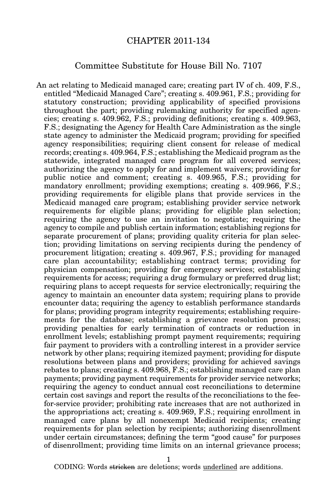## CHAPTER 2011-134

## Committee Substitute for House Bill No. 7107

An act relating to Medicaid managed care; creating part IV of ch. 409, F.S., entitled "Medicaid Managed Care"; creating s. 409.961, F.S.; providing for statutory construction; providing applicability of specified provisions throughout the part; providing rulemaking authority for specified agencies; creating s. 409.962, F.S.; providing definitions; creating s. 409.963, F.S.; designating the Agency for Health Care Administration as the single state agency to administer the Medicaid program; providing for specified agency responsibilities; requiring client consent for release of medical records; creating s. 409.964, F.S.; establishing the Medicaid program as the statewide, integrated managed care program for all covered services; authorizing the agency to apply for and implement waivers; providing for public notice and comment; creating s. 409.965, F.S.; providing for mandatory enrollment; providing exemptions; creating s. 409.966, F.S.; providing requirements for eligible plans that provide services in the Medicaid managed care program; establishing provider service network requirements for eligible plans; providing for eligible plan selection; requiring the agency to use an invitation to negotiate; requiring the agency to compile and publish certain information; establishing regions for separate procurement of plans; providing quality criteria for plan selection; providing limitations on serving recipients during the pendency of procurement litigation; creating s. 409.967, F.S.; providing for managed care plan accountability; establishing contract terms; providing for physician compensation; providing for emergency services; establishing requirements for access; requiring a drug formulary or preferred drug list; requiring plans to accept requests for service electronically; requiring the agency to maintain an encounter data system; requiring plans to provide encounter data; requiring the agency to establish performance standards for plans; providing program integrity requirements; establishing requirements for the database; establishing a grievance resolution process; providing penalties for early termination of contracts or reduction in enrollment levels; establishing prompt payment requirements; requiring fair payment to providers with a controlling interest in a provider service network by other plans; requiring itemized payment; providing for dispute resolutions between plans and providers; providing for achieved savings rebates to plans; creating s. 409.968, F.S.; establishing managed care plan payments; providing payment requirements for provider service networks; requiring the agency to conduct annual cost reconciliations to determine certain cost savings and report the results of the reconciliations to the feefor-service provider; prohibiting rate increases that are not authorized in the appropriations act; creating s. 409.969, F.S.; requiring enrollment in managed care plans by all nonexempt Medicaid recipients; creating requirements for plan selection by recipients; authorizing disenrollment under certain circumstances; defining the term "good cause" for purposes of disenrollment; providing time limits on an internal grievance process;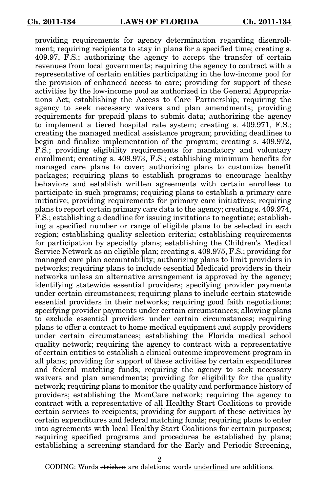providing requirements for agency determination regarding disenrollment; requiring recipients to stay in plans for a specified time; creating s. 409.97, F.S.; authorizing the agency to accept the transfer of certain revenues from local governments; requiring the agency to contract with a representative of certain entities participating in the low-income pool for the provision of enhanced access to care; providing for support of these activities by the low-income pool as authorized in the General Appropriations Act; establishing the Access to Care Partnership; requiring the agency to seek necessary waivers and plan amendments; providing requirements for prepaid plans to submit data; authorizing the agency to implement a tiered hospital rate system; creating s. 409.971, F.S.; creating the managed medical assistance program; providing deadlines to begin and finalize implementation of the program; creating s. 409.972, F.S.; providing eligibility requirements for mandatory and voluntary enrollment; creating s. 409.973, F.S.; establishing minimum benefits for managed care plans to cover; authorizing plans to customize benefit packages; requiring plans to establish programs to encourage healthy behaviors and establish written agreements with certain enrollees to participate in such programs; requiring plans to establish a primary care initiative; providing requirements for primary care initiatives; requiring plans to report certain primary care data to the agency; creating s. 409.974, F.S.; establishing a deadline for issuing invitations to negotiate; establishing a specified number or range of eligible plans to be selected in each region; establishing quality selection criteria; establishing requirements for participation by specialty plans; establishing the Children's Medical Service Network as an eligible plan; creating s. 409.975, F.S.; providing for managed care plan accountability; authorizing plans to limit providers in networks; requiring plans to include essential Medicaid providers in their networks unless an alternative arrangement is approved by the agency; identifying statewide essential providers; specifying provider payments under certain circumstances; requiring plans to include certain statewide essential providers in their networks; requiring good faith negotiations; specifying provider payments under certain circumstances; allowing plans to exclude essential providers under certain circumstances; requiring plans to offer a contract to home medical equipment and supply providers under certain circumstances; establishing the Florida medical school quality network; requiring the agency to contract with a representative of certain entities to establish a clinical outcome improvement program in all plans; providing for support of these activities by certain expenditures and federal matching funds; requiring the agency to seek necessary waivers and plan amendments; providing for eligibility for the quality network; requiring plans to monitor the quality and performance history of providers; establishing the MomCare network; requiring the agency to contract with a representative of all Healthy Start Coalitions to provide certain services to recipients; providing for support of these activities by certain expenditures and federal matching funds; requiring plans to enter into agreements with local Healthy Start Coalitions for certain purposes; requiring specified programs and procedures be established by plans; establishing a screening standard for the Early and Periodic Screening,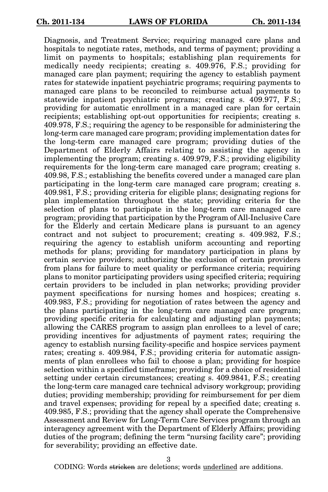Diagnosis, and Treatment Service; requiring managed care plans and hospitals to negotiate rates, methods, and terms of payment; providing a limit on payments to hospitals; establishing plan requirements for medically needy recipients; creating s. 409.976, F.S.; providing for managed care plan payment; requiring the agency to establish payment rates for statewide inpatient psychiatric programs; requiring payments to managed care plans to be reconciled to reimburse actual payments to statewide inpatient psychiatric programs; creating s. 409.977, F.S.; providing for automatic enrollment in a managed care plan for certain recipients; establishing opt-out opportunities for recipients; creating s. 409.978, F.S.; requiring the agency to be responsible for administering the long-term care managed care program; providing implementation dates for the long-term care managed care program; providing duties of the Department of Elderly Affairs relating to assisting the agency in implementing the program; creating s. 409.979, F.S.; providing eligibility requirements for the long-term care managed care program; creating s. 409.98, F.S.; establishing the benefits covered under a managed care plan participating in the long-term care managed care program; creating s. 409.981, F.S.; providing criteria for eligible plans; designating regions for plan implementation throughout the state; providing criteria for the selection of plans to participate in the long-term care managed care program; providing that participation by the Program of All-Inclusive Care for the Elderly and certain Medicare plans is pursuant to an agency contract and not subject to procurement; creating s. 409.982, F.S.; requiring the agency to establish uniform accounting and reporting methods for plans; providing for mandatory participation in plans by certain service providers; authorizing the exclusion of certain providers from plans for failure to meet quality or performance criteria; requiring plans to monitor participating providers using specified criteria; requiring certain providers to be included in plan networks; providing provider payment specifications for nursing homes and hospices; creating s. 409.983, F.S.; providing for negotiation of rates between the agency and the plans participating in the long-term care managed care program; providing specific criteria for calculating and adjusting plan payments; allowing the CARES program to assign plan enrollees to a level of care; providing incentives for adjustments of payment rates; requiring the agency to establish nursing facility-specific and hospice services payment rates; creating s. 409.984, F.S.; providing criteria for automatic assignments of plan enrollees who fail to choose a plan; providing for hospice selection within a specified timeframe; providing for a choice of residential setting under certain circumstances; creating s. 409.9841, F.S.; creating the long-term care managed care technical advisory workgroup; providing duties; providing membership; providing for reimbursement for per diem and travel expenses; providing for repeal by a specified date; creating s. 409.985, F.S.; providing that the agency shall operate the Comprehensive Assessment and Review for Long-Term Care Services program through an interagency agreement with the Department of Elderly Affairs; providing duties of the program; defining the term "nursing facility care"; providing for severability; providing an effective date.

3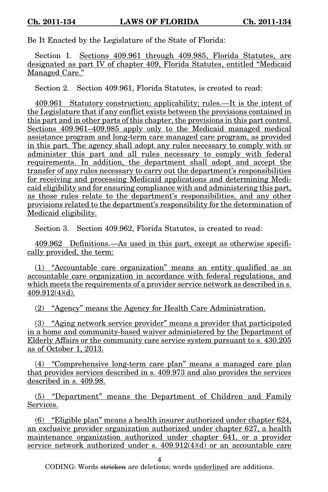Be It Enacted by the Legislature of the State of Florida:

Section 1. Sections 409.961 through 409.985, Florida Statutes, are designated as part IV of chapter 409, Florida Statutes, entitled "Medicaid Managed Care."

Section 2. Section 409.961, Florida Statutes, is created to read:

409.961 Statutory construction; applicability; rules.—It is the intent of the Legislature that if any conflict exists between the provisions contained in this part and in other parts of this chapter, the provisions in this part control. Sections 409.961–409.985 apply only to the Medicaid managed medical assistance program and long-term care managed care program, as provided in this part. The agency shall adopt any rules necessary to comply with or administer this part and all rules necessary to comply with federal requirements. In addition, the department shall adopt and accept the transfer of any rules necessary to carry out the department's responsibilities for receiving and processing Medicaid applications and determining Medicaid eligibility and for ensuring compliance with and administering this part, as those rules relate to the department's responsibilities, and any other provisions related to the department's responsibility for the determination of Medicaid eligibility.

Section 3. Section 409.962, Florida Statutes, is created to read:

409.962 Definitions.—As used in this part, except as otherwise specifically provided, the term:

(1) "Accountable care organization" means an entity qualified as an accountable care organization in accordance with federal regulations, and which meets the requirements of a provider service network as described in s. 409.912(4)(d).

(2) "Agency" means the Agency for Health Care Administration.

(3) "Aging network service provider" means a provider that participated in a home and community-based waiver administered by the Department of Elderly Affairs or the community care service system pursuant to s. 430.205 as of October 1, 2013.

(4) "Comprehensive long-term care plan" means a managed care plan that provides services described in s. 409.973 and also provides the services described in s. 409.98.

(5) "Department" means the Department of Children and Family Services.

(6) "Eligible plan" means a health insurer authorized under chapter 624, an exclusive provider organization authorized under chapter 627, a health maintenance organization authorized under chapter 641, or a provider service network authorized under s.  $409.912(4)(d)$  or an accountable care

4

CODING: Words <del>stricken</del> are deletions; words <u>underlined</u> are additions.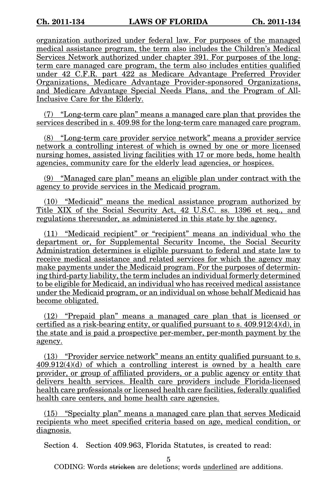organization authorized under federal law. For purposes of the managed medical assistance program, the term also includes the Children's Medical Services Network authorized under chapter 391. For purposes of the longterm care managed care program, the term also includes entities qualified under 42 C.F.R. part 422 as Medicare Advantage Preferred Provider Organizations, Medicare Advantage Provider-sponsored Organizations, and Medicare Advantage Special Needs Plans, and the Program of All-Inclusive Care for the Elderly.

(7) "Long-term care plan" means a managed care plan that provides the services described in s. 409.98 for the long-term care managed care program.

(8) "Long-term care provider service network" means a provider service network a controlling interest of which is owned by one or more licensed nursing homes, assisted living facilities with 17 or more beds, home health agencies, community care for the elderly lead agencies, or hospices.

(9) "Managed care plan" means an eligible plan under contract with the agency to provide services in the Medicaid program.

(10) "Medicaid" means the medical assistance program authorized by Title XIX of the Social Security Act, 42 U.S.C. ss. 1396 et seq., and regulations thereunder, as administered in this state by the agency.

(11) "Medicaid recipient" or "recipient" means an individual who the department or, for Supplemental Security Income, the Social Security Administration determines is eligible pursuant to federal and state law to receive medical assistance and related services for which the agency may make payments under the Medicaid program. For the purposes of determining third-party liability, the term includes an individual formerly determined to be eligible for Medicaid, an individual who has received medical assistance under the Medicaid program, or an individual on whose behalf Medicaid has become obligated.

(12) "Prepaid plan" means a managed care plan that is licensed or certified as a risk-bearing entity, or qualified pursuant to s.  $409.912(4)(d)$ , in the state and is paid a prospective per-member, per-month payment by the agency.

(13) "Provider service network" means an entity qualified pursuant to s. 409.912(4)(d) of which a controlling interest is owned by a health care provider, or group of affiliated providers, or a public agency or entity that delivers health services. Health care providers include Florida-licensed health care professionals or licensed health care facilities, federally qualified health care centers, and home health care agencies.

(15) "Specialty plan" means a managed care plan that serves Medicaid recipients who meet specified criteria based on age, medical condition, or diagnosis.

Section 4. Section 409.963, Florida Statutes, is created to read:

5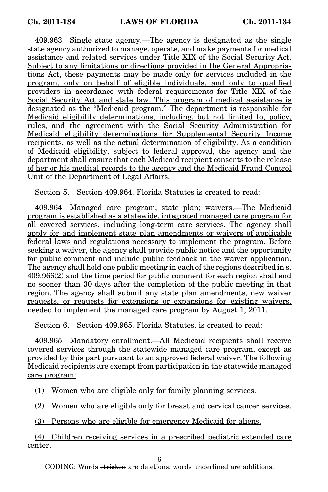409.963 Single state agency.—The agency is designated as the single state agency authorized to manage, operate, and make payments for medical assistance and related services under Title XIX of the Social Security Act. Subject to any limitations or directions provided in the General Appropriations Act, these payments may be made only for services included in the program, only on behalf of eligible individuals, and only to qualified providers in accordance with federal requirements for Title XIX of the Social Security Act and state law. This program of medical assistance is designated as the "Medicaid program." The department is responsible for Medicaid eligibility determinations, including, but not limited to, policy, rules, and the agreement with the Social Security Administration for Medicaid eligibility determinations for Supplemental Security Income recipients, as well as the actual determination of eligibility. As a condition of Medicaid eligibility, subject to federal approval, the agency and the department shall ensure that each Medicaid recipient consents to the release of her or his medical records to the agency and the Medicaid Fraud Control Unit of the Department of Legal Affairs.

Section 5. Section 409.964, Florida Statutes is created to read:

409.964 Managed care program; state plan; waivers.—The Medicaid program is established as a statewide, integrated managed care program for all covered services, including long-term care services. The agency shall apply for and implement state plan amendments or waivers of applicable federal laws and regulations necessary to implement the program. Before seeking a waiver, the agency shall provide public notice and the opportunity for public comment and include public feedback in the waiver application. The agency shall hold one public meeting in each of the regions described in s. 409.966(2) and the time period for public comment for each region shall end no sooner than 30 days after the completion of the public meeting in that region. The agency shall submit any state plan amendments, new waiver requests, or requests for extensions or expansions for existing waivers, needed to implement the managed care program by August 1, 2011.

Section 6. Section 409.965, Florida Statutes, is created to read:

409.965 Mandatory enrollment.—All Medicaid recipients shall receive covered services through the statewide managed care program, except as provided by this part pursuant to an approved federal waiver. The following Medicaid recipients are exempt from participation in the statewide managed care program:

(1) Women who are eligible only for family planning services.

(2) Women who are eligible only for breast and cervical cancer services.

(3) Persons who are eligible for emergency Medicaid for aliens.

(4) Children receiving services in a prescribed pediatric extended care center.

6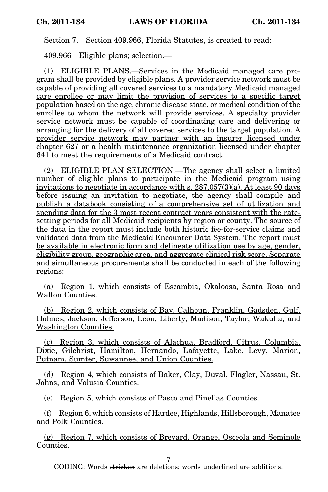Section 7. Section 409.966, Florida Statutes, is created to read:

409.966 Eligible plans; selection.—

(1) ELIGIBLE PLANS.—Services in the Medicaid managed care program shall be provided by eligible plans. A provider service network must be capable of providing all covered services to a mandatory Medicaid managed care enrollee or may limit the provision of services to a specific target population based on the age, chronic disease state, or medical condition of the enrollee to whom the network will provide services. A specialty provider service network must be capable of coordinating care and delivering or arranging for the delivery of all covered services to the target population. A provider service network may partner with an insurer licensed under chapter 627 or a health maintenance organization licensed under chapter 641 to meet the requirements of a Medicaid contract.

(2) ELIGIBLE PLAN SELECTION.—The agency shall select a limited number of eligible plans to participate in the Medicaid program using invitations to negotiate in accordance with s. 287.057(3)(a). At least 90 days before issuing an invitation to negotiate, the agency shall compile and publish a databook consisting of a comprehensive set of utilization and spending data for the 3 most recent contract years consistent with the ratesetting periods for all Medicaid recipients by region or county. The source of the data in the report must include both historic fee-for-service claims and validated data from the Medicaid Encounter Data System. The report must be available in electronic form and delineate utilization use by age, gender, eligibility group, geographic area, and aggregate clinical risk score. Separate and simultaneous procurements shall be conducted in each of the following regions:

(a) Region 1, which consists of Escambia, Okaloosa, Santa Rosa and Walton Counties.

(b) Region 2, which consists of Bay, Calhoun, Franklin, Gadsden, Gulf, Holmes, Jackson, Jefferson, Leon, Liberty, Madison, Taylor, Wakulla, and Washington Counties.

(c) Region 3, which consists of Alachua, Bradford, Citrus, Columbia, Dixie, Gilchrist, Hamilton, Hernando, Lafayette, Lake, Levy, Marion, Putnam, Sumter, Suwannee, and Union Counties.

(d) Region 4, which consists of Baker, Clay, Duval, Flagler, Nassau, St. Johns, and Volusia Counties.

(e) Region 5, which consists of Pasco and Pinellas Counties.

(f) Region 6, which consists of Hardee, Highlands, Hillsborough, Manatee and Polk Counties.

(g) Region 7, which consists of Brevard, Orange, Osceola and Seminole Counties.

7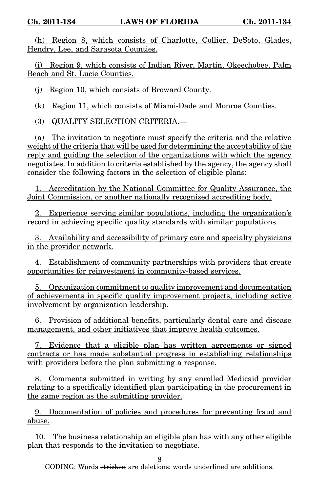(h) Region 8, which consists of Charlotte, Collier, DeSoto, Glades, Hendry, Lee, and Sarasota Counties.

(i) Region 9, which consists of Indian River, Martin, Okeechobee, Palm Beach and St. Lucie Counties.

(j) Region 10, which consists of Broward County.

(k) Region 11, which consists of Miami-Dade and Monroe Counties.

(3) QUALITY SELECTION CRITERIA.—

(a) The invitation to negotiate must specify the criteria and the relative weight of the criteria that will be used for determining the acceptability of the reply and guiding the selection of the organizations with which the agency negotiates. In addition to criteria established by the agency, the agency shall consider the following factors in the selection of eligible plans:

1. Accreditation by the National Committee for Quality Assurance, the Joint Commission, or another nationally recognized accrediting body.

2. Experience serving similar populations, including the organization's record in achieving specific quality standards with similar populations.

3. Availability and accessibility of primary care and specialty physicians in the provider network.

4. Establishment of community partnerships with providers that create opportunities for reinvestment in community-based services.

5. Organization commitment to quality improvement and documentation of achievements in specific quality improvement projects, including active involvement by organization leadership.

6. Provision of additional benefits, particularly dental care and disease management, and other initiatives that improve health outcomes.

7. Evidence that a eligible plan has written agreements or signed contracts or has made substantial progress in establishing relationships with providers before the plan submitting a response.

8. Comments submitted in writing by any enrolled Medicaid provider relating to a specifically identified plan participating in the procurement in the same region as the submitting provider.

9. Documentation of policies and procedures for preventing fraud and abuse.

10. The business relationship an eligible plan has with any other eligible plan that responds to the invitation to negotiate.

8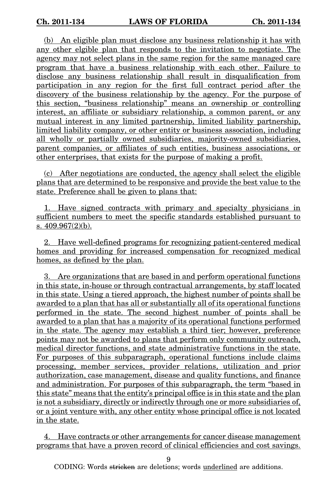(b) An eligible plan must disclose any business relationship it has with any other elgible plan that responds to the invitation to negotiate. The agency may not select plans in the same region for the same managed care program that have a business relationship with each other. Failure to disclose any business relationship shall result in disqualification from participation in any region for the first full contract period after the discovery of the business relationship by the agency. For the purpose of this section, "business relationship" means an ownership or controlling interest, an affiliate or subsidiary relationship, a common parent, or any mutual interest in any limited partnership, limited liability partnership, limited liability company, or other entity or business association, including all wholly or partially owned subsidiaries, majority-owned subsidiaries, parent companies, or affiliates of such entities, business associations, or other enterprises, that exists for the purpose of making a profit.

(c) After negotiations are conducted, the agency shall select the eligible plans that are determined to be responsive and provide the best value to the state. Preference shall be given to plans that:

1. Have signed contracts with primary and specialty physicians in sufficient numbers to meet the specific standards established pursuant to s. 409.967(2)(b).

2. Have well-defined programs for recognizing patient-centered medical homes and providing for increased compensation for recognized medical homes, as defined by the plan.

3. Are organizations that are based in and perform operational functions in this state, in-house or through contractual arrangements, by staff located in this state. Using a tiered approach, the highest number of points shall be awarded to a plan that has all or substantially all of its operational functions performed in the state. The second highest number of points shall be awarded to a plan that has a majority of its operational functions performed in the state. The agency may establish a third tier; however, preference points may not be awarded to plans that perform only community outreach, medical director functions, and state administrative functions in the state. For purposes of this subparagraph, operational functions include claims processing, member services, provider relations, utilization and prior authorization, case management, disease and quality functions, and finance and administration. For purposes of this subparagraph, the term "based in this state" means that the entity's principal office is in this state and the plan is not a subsidiary, directly or indirectly through one or more subsidiaries of, or a joint venture with, any other entity whose principal office is not located in the state.

4. Have contracts or other arrangements for cancer disease management programs that have a proven record of clinical efficiencies and cost savings.

9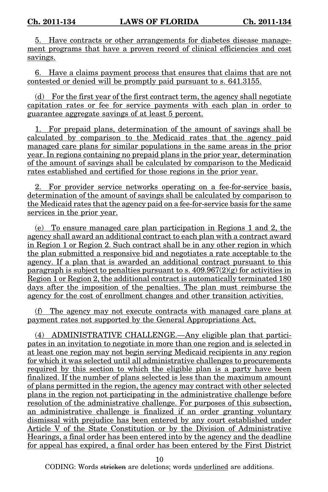5. Have contracts or other arrangements for diabetes disease management programs that have a proven record of clinical efficiencies and cost savings.

6. Have a claims payment process that ensures that claims that are not contested or denied will be promptly paid pursuant to s. 641.3155.

(d) For the first year of the first contract term, the agency shall negotiate capitation rates or fee for service payments with each plan in order to guarantee aggregate savings of at least 5 percent.

1. For prepaid plans, determination of the amount of savings shall be calculated by comparison to the Medicaid rates that the agency paid managed care plans for similar populations in the same areas in the prior year. In regions containing no prepaid plans in the prior year, determination of the amount of savings shall be calculated by comparison to the Medicaid rates established and certified for those regions in the prior year.

2. For provider service networks operating on a fee-for-service basis, determination of the amount of savings shall be calculated by comparison to the Medicaid rates that the agency paid on a fee-for-service basis for the same services in the prior year.

(e) To ensure managed care plan participation in Regions 1 and 2, the agency shall award an additional contract to each plan with a contract award in Region 1 or Region 2. Such contract shall be in any other region in which the plan submitted a responsive bid and negotiates a rate acceptable to the agency. If a plan that is awarded an additional contract pursuant to this paragraph is subject to penalties pursuant to s.  $409.967(2)(\overline{g})$  for activities in Region 1 or Region 2, the additional contract is automatically terminated 180 days after the imposition of the penalties. The plan must reimburse the agency for the cost of enrollment changes and other transition activities.

(f) The agency may not execute contracts with managed care plans at payment rates not supported by the General Appropriations Act.

(4) ADMINISTRATIVE CHALLENGE.—Any eligible plan that participates in an invitation to negotiate in more than one region and is selected in at least one region may not begin serving Medicaid recipients in any region for which it was selected until all administrative challenges to procurements required by this section to which the eligible plan is a party have been finalized. If the number of plans selected is less than the maximum amount of plans permitted in the region, the agency may contract with other selected plans in the region not participating in the administrative challenge before resolution of the administrative challenge. For purposes of this subsection, an administrative challenge is finalized if an order granting voluntary dismissal with prejudice has been entered by any court established under Article V of the State Constitution or by the Division of Administrative Hearings, a final order has been entered into by the agency and the deadline for appeal has expired, a final order has been entered by the First District

10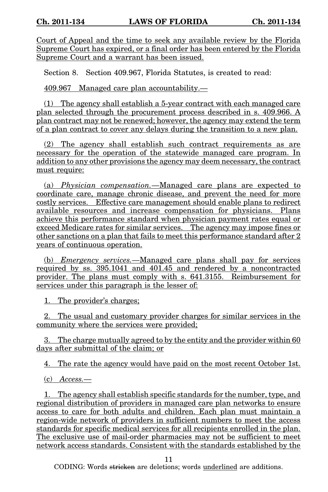Court of Appeal and the time to seek any available review by the Florida Supreme Court has expired, or a final order has been entered by the Florida Supreme Court and a warrant has been issued.

Section 8. Section 409.967, Florida Statutes, is created to read:

409.967 Managed care plan accountability.—

(1) The agency shall establish a 5-year contract with each managed care plan selected through the procurement process described in s. 409.966. A plan contract may not be renewed; however, the agency may extend the term of a plan contract to cover any delays during the transition to a new plan.

(2) The agency shall establish such contract requirements as are necessary for the operation of the statewide managed care program. In addition to any other provisions the agency may deem necessary, the contract must require:

(a) Physician compensation.—Managed care plans are expected to coordinate care, manage chronic disease, and prevent the need for more costly services. Effective care management should enable plans to redirect available resources and increase compensation for physicians. Plans achieve this performance standard when physician payment rates equal or exceed Medicare rates for similar services. The agency may impose fines or other sanctions on a plan that fails to meet this performance standard after 2 years of continuous operation.

(b) Emergency services.—Managed care plans shall pay for services required by ss. 395.1041 and 401.45 and rendered by a noncontracted provider. The plans must comply with s. 641.3155. Reimbursement for services under this paragraph is the lesser of:

1. The provider's charges;

2. The usual and customary provider charges for similar services in the community where the services were provided;

3. The charge mutually agreed to by the entity and the provider within 60 days after submittal of the claim; or

4. The rate the agency would have paid on the most recent October 1st.

(c) Access.—

1. The agency shall establish specific standards for the number, type, and regional distribution of providers in managed care plan networks to ensure access to care for both adults and children. Each plan must maintain a region-wide network of providers in sufficient numbers to meet the access standards for specific medical services for all recipients enrolled in the plan. The exclusive use of mail-order pharmacies may not be sufficient to meet network access standards. Consistent with the standards established by the

11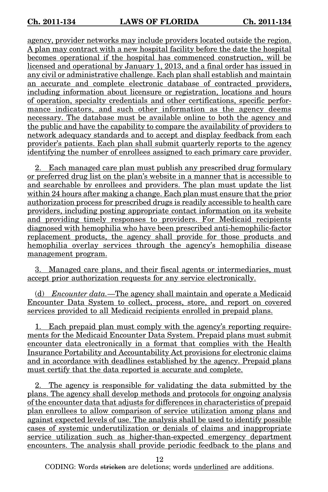agency, provider networks may include providers located outside the region. A plan may contract with a new hospital facility before the date the hospital becomes operational if the hospital has commenced construction, will be licensed and operational by January 1, 2013, and a final order has issued in any civil or administrative challenge. Each plan shall establish and maintain an accurate and complete electronic database of contracted providers, including information about licensure or registration, locations and hours of operation, specialty credentials and other certifications, specific performance indicators, and such other information as the agency deems necessary. The database must be available online to both the agency and the public and have the capability to compare the availability of providers to network adequacy standards and to accept and display feedback from each provider's patients. Each plan shall submit quarterly reports to the agency identifying the number of enrollees assigned to each primary care provider.

2. Each managed care plan must publish any prescribed drug formulary or preferred drug list on the plan's website in a manner that is accessible to and searchable by enrollees and providers. The plan must update the list within 24 hours after making a change. Each plan must ensure that the prior authorization process for prescribed drugs is readily accessible to health care providers, including posting appropriate contact information on its website and providing timely responses to providers. For Medicaid recipients diagnosed with hemophilia who have been prescribed anti-hemophilic-factor replacement products, the agency shall provide for those products and hemophilia overlay services through the agency's hemophilia disease management program.

3. Managed care plans, and their fiscal agents or intermediaries, must accept prior authorization requests for any service electronically.

(d) Encounter data.—The agency shall maintain and operate a Medicaid Encounter Data System to collect, process, store, and report on covered services provided to all Medicaid recipients enrolled in prepaid plans.

1. Each prepaid plan must comply with the agency's reporting requirements for the Medicaid Encounter Data System. Prepaid plans must submit encounter data electronically in a format that complies with the Health Insurance Portability and Accountability Act provisions for electronic claims and in accordance with deadlines established by the agency. Prepaid plans must certify that the data reported is accurate and complete.

2. The agency is responsible for validating the data submitted by the plans. The agency shall develop methods and protocols for ongoing analysis of the encounter data that adjusts for differences in characteristics of prepaid plan enrollees to allow comparison of service utilization among plans and against expected levels of use. The analysis shall be used to identify possible cases of systemic underutilization or denials of claims and inappropriate service utilization such as higher-than-expected emergency department encounters. The analysis shall provide periodic feedback to the plans and

12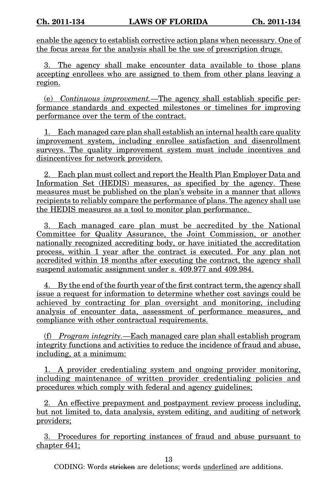enable the agency to establish corrective action plans when necessary. One of the focus areas for the analysis shall be the use of prescription drugs.

3. The agency shall make encounter data available to those plans accepting enrollees who are assigned to them from other plans leaving a region.

(e) Continuous improvement.—The agency shall establish specific performance standards and expected milestones or timelines for improving performance over the term of the contract.

1. Each managed care plan shall establish an internal health care quality improvement system, including enrollee satisfaction and disenrollment surveys. The quality improvement system must include incentives and disincentives for network providers.

2. Each plan must collect and report the Health Plan Employer Data and Information Set (HEDIS) measures, as specified by the agency. These measures must be published on the plan's website in a manner that allows recipients to reliably compare the performance of plans. The agency shall use the HEDIS measures as a tool to monitor plan performance.

3. Each managed care plan must be accredited by the National Committee for Quality Assurance, the Joint Commission, or another nationally recognized accrediting body, or have initiated the accreditation process, within 1 year after the contract is executed. For any plan not accredited within 18 months after executing the contract, the agency shall suspend automatic assignment under s. 409.977 and 409.984.

4. By the end of the fourth year of the first contract term, the agency shall issue a request for information to determine whether cost savings could be achieved by contracting for plan oversight and monitoring, including analysis of encounter data, assessment of performance measures, and compliance with other contractual requirements.

(f) Program integrity.—Each managed care plan shall establish program integrity functions and activities to reduce the incidence of fraud and abuse, including, at a minimum:

1. A provider credentialing system and ongoing provider monitoring, including maintenance of written provider credentialing policies and procedures which comply with federal and agency guidelines;

2. An effective prepayment and postpayment review process including, but not limited to, data analysis, system editing, and auditing of network providers;

3. Procedures for reporting instances of fraud and abuse pursuant to chapter 641;

13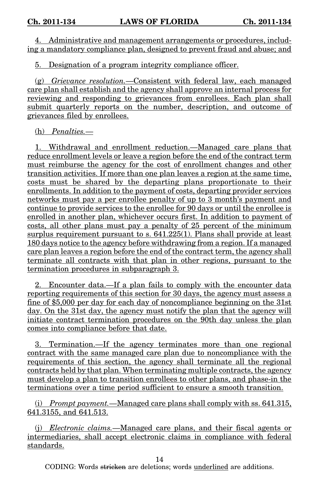4. Administrative and management arrangements or procedures, including a mandatory compliance plan, designed to prevent fraud and abuse; and

5. Designation of a program integrity compliance officer.

(g) Grievance resolution. - Consistent with federal law, each managed care plan shall establish and the agency shall approve an internal process for reviewing and responding to grievances from enrollees. Each plan shall submit quarterly reports on the number, description, and outcome of grievances filed by enrollees.

(h) Penalties.—

1. Withdrawal and enrollment reduction.—Managed care plans that reduce enrollment levels or leave a region before the end of the contract term must reimburse the agency for the cost of enrollment changes and other transition activities. If more than one plan leaves a region at the same time, costs must be shared by the departing plans proportionate to their enrollments. In addition to the payment of costs, departing provider services networks must pay a per enrollee penalty of up to 3 month's payment and continue to provide services to the enrollee for 90 days or until the enrollee is enrolled in another plan, whichever occurs first. In addition to payment of costs, all other plans must pay a penalty of 25 percent of the minimum surplus requirement pursuant to s.  $641.225(1)$ . Plans shall provide at least 180 days notice to the agency before withdrawing from a region. If a managed care plan leaves a region before the end of the contract term, the agency shall terminate all contracts with that plan in other regions, pursuant to the termination procedures in subparagraph 3.

2. Encounter data.—If a plan fails to comply with the encounter data reporting requirements of this section for 30 days, the agency must assess a fine of \$5,000 per day for each day of noncompliance beginning on the 31st day. On the 31st day, the agency must notify the plan that the agency will initiate contract termination procedures on the 90th day unless the plan comes into compliance before that date.

3. Termination.—If the agency terminates more than one regional contract with the same managed care plan due to noncompliance with the requirements of this section, the agency shall terminate all the regional contracts held by that plan. When terminating multiple contracts, the agency must develop a plan to transition enrollees to other plans, and phase-in the terminations over a time period sufficient to ensure a smooth transition.

(i) Prompt payment.—Managed care plans shall comply with ss. 641.315, 641.3155, and 641.513.

(j) Electronic claims.—Managed care plans, and their fiscal agents or intermediaries, shall accept electronic claims in compliance with federal standards.

14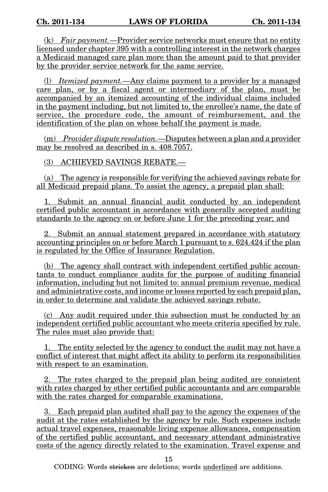(k) Fair payment.—Provider service networks must ensure that no entity licensed under chapter 395 with a controlling interest in the network charges a Medicaid managed care plan more than the amount paid to that provider by the provider service network for the same service.

(l) Itemized payment.—Any claims payment to a provider by a managed care plan, or by a fiscal agent or intermediary of the plan, must be accompanied by an itemized accounting of the individual claims included in the payment including, but not limited to, the enrollee's name, the date of service, the procedure code, the amount of reimbursement, and the identification of the plan on whose behalf the payment is made.

(m) Provider dispute resolution.—Disputes between a plan and a provider may be resolved as described in s. 408.7057.

(3) ACHIEVED SAVINGS REBATE.—

(a) The agency is responsible for verifying the achieved savings rebate for all Medicaid prepaid plans. To assist the agency, a prepaid plan shall:

1. Submit an annual financial audit conducted by an independent certified public accountant in accordance with generally accepted auditing standards to the agency on or before June 1 for the preceding year; and

2. Submit an annual statement prepared in accordance with statutory accounting principles on or before March 1 pursuant to s. 624.424 if the plan is regulated by the Office of Insurance Regulation.

(b) The agency shall contract with independent certified public accountants to conduct compliance audits for the purpose of auditing financial information, including but not limited to: annual premium revenue, medical and administrative costs, and income or losses reported by each prepaid plan, in order to determine and validate the achieved savings rebate.

(c) Any audit required under this subsection must be conducted by an independent certified public accountant who meets criteria specified by rule. The rules must also provide that:

1. The entity selected by the agency to conduct the audit may not have a conflict of interest that might affect its ability to perform its responsibilities with respect to an examination.

2. The rates charged to the prepaid plan being audited are consistent with rates charged by other certified public accountants and are comparable with the rates charged for comparable examinations.

3. Each prepaid plan audited shall pay to the agency the expenses of the audit at the rates established by the agency by rule. Such expenses include actual travel expenses, reasonable living expense allowances, compensation of the certified public accountant, and necessary attendant administrative costs of the agency directly related to the examination. Travel expense and

15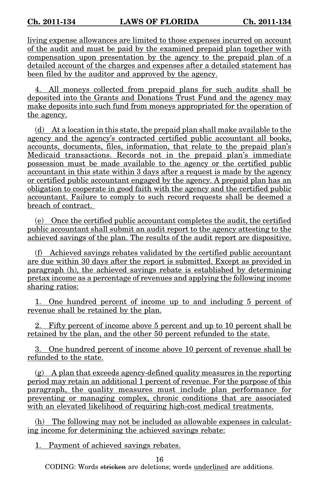living expense allowances are limited to those expenses incurred on account of the audit and must be paid by the examined prepaid plan together with compensation upon presentation by the agency to the prepaid plan of a detailed account of the charges and expenses after a detailed statement has been filed by the auditor and approved by the agency.

4. All moneys collected from prepaid plans for such audits shall be deposited into the Grants and Donations Trust Fund and the agency may make deposits into such fund from moneys appropriated for the operation of the agency.

(d) At a location in this state, the prepaid plan shall make available to the agency and the agency's contracted certified public accountant all books, accounts, documents, files, information, that relate to the prepaid plan's Medicaid transactions. Records not in the prepaid plan's immediate possession must be made available to the agency or the certified public accountant in this state within 3 days after a request is made by the agency or certified public accountant engaged by the agency. A prepaid plan has an obligation to cooperate in good faith with the agency and the certified public accountant. Failure to comply to such record requests shall be deemed a breach of contract.

(e) Once the certified public accountant completes the audit, the certified public accountant shall submit an audit report to the agency attesting to the achieved savings of the plan. The results of the audit report are dispositive.

(f) Achieved savings rebates validated by the certified public accountant are due within 30 days after the report is submitted. Except as provided in paragraph (h), the achieved savings rebate is established by determining pretax income as a percentage of revenues and applying the following income sharing ratios:

1. One hundred percent of income up to and including 5 percent of revenue shall be retained by the plan.

2. Fifty percent of income above 5 percent and up to 10 percent shall be retained by the plan, and the other 50 percent refunded to the state.

3. One hundred percent of income above 10 percent of revenue shall be refunded to the state.

 $(g)$  A plan that exceeds agency-defined quality measures in the reporting period may retain an additional 1 percent of revenue. For the purpose of this paragraph, the quality measures must include plan performance for preventing or managing complex, chronic conditions that are associated with an elevated likelihood of requiring high-cost medical treatments.

(h) The following may not be included as allowable expenses in calculating income for determining the achieved savings rebate:

1. Payment of achieved savings rebates.

16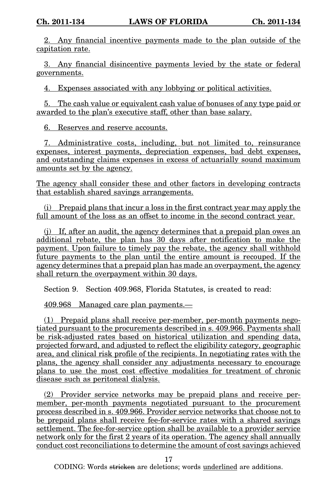2. Any financial incentive payments made to the plan outside of the capitation rate.

3. Any financial disincentive payments levied by the state or federal governments.

4. Expenses associated with any lobbying or political activities.

5. The cash value or equivalent cash value of bonuses of any type paid or awarded to the plan's executive staff, other than base salary.

6. Reserves and reserve accounts.

7. Administrative costs, including, but not limited to, reinsurance expenses, interest payments, depreciation expenses, bad debt expenses, and outstanding claims expenses in excess of actuarially sound maximum amounts set by the agency.

The agency shall consider these and other factors in developing contracts that establish shared savings arrangements.

(i) Prepaid plans that incur a loss in the first contract year may apply the full amount of the loss as an offset to income in the second contract year.

(j) If, after an audit, the agency determines that a prepaid plan owes an additional rebate, the plan has 30 days after notification to make the payment. Upon failure to timely pay the rebate, the agency shall withhold future payments to the plan until the entire amount is recouped. If the agency determines that a prepaid plan has made an overpayment, the agency shall return the overpayment within 30 days.

Section 9. Section 409.968, Florida Statutes, is created to read:

409.968 Managed care plan payments.—

(1) Prepaid plans shall receive per-member, per-month payments negotiated pursuant to the procurements described in s. 409.966. Payments shall be risk-adjusted rates based on historical utilization and spending data, projected forward, and adjusted to reflect the eligibility category, geographic area, and clinical risk profile of the recipients. In negotiating rates with the plans, the agency shall consider any adjustments necessary to encourage plans to use the most cost effective modalities for treatment of chronic disease such as peritoneal dialysis.

(2) Provider service networks may be prepaid plans and receive permember, per-month payments negotiated pursuant to the procurement process described in s. 409.966. Provider service networks that choose not to be prepaid plans shall receive fee-for-service rates with a shared savings settlement. The fee-for-service option shall be available to a provider service network only for the first 2 years of its operation. The agency shall annually conduct cost reconciliations to determine the amount of cost savings achieved

17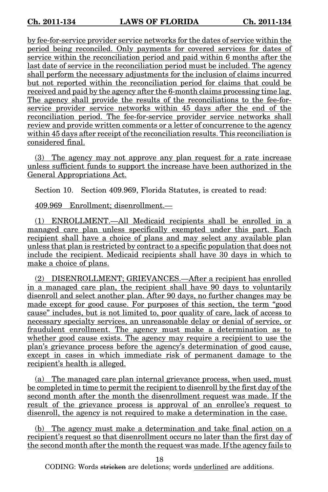by fee-for-service provider service networks for the dates of service within the period being reconciled. Only payments for covered services for dates of service within the reconciliation period and paid within 6 months after the last date of service in the reconciliation period must be included. The agency shall perform the necessary adjustments for the inclusion of claims incurred but not reported within the reconciliation period for claims that could be received and paid by the agency after the 6-month claims processing time lag. The agency shall provide the results of the reconciliations to the fee-forservice provider service networks within 45 days after the end of the reconciliation period. The fee-for-service provider service networks shall review and provide written comments or a letter of concurrence to the agency within 45 days after receipt of the reconciliation results. This reconciliation is considered final.

(3) The agency may not approve any plan request for a rate increase unless sufficient funds to support the increase have been authorized in the General Appropriations Act.

Section 10. Section 409.969, Florida Statutes, is created to read:

409.969 Enrollment; disenrollment.—

(1) ENROLLMENT.—All Medicaid recipients shall be enrolled in a managed care plan unless specifically exempted under this part. Each recipient shall have a choice of plans and may select any available plan unless that plan is restricted by contract to a specific population that does not include the recipient. Medicaid recipients shall have 30 days in which to make a choice of plans.

(2) DISENROLLMENT; GRIEVANCES.—After a recipient has enrolled in a managed care plan, the recipient shall have 90 days to voluntarily disenroll and select another plan. After 90 days, no further changes may be made except for good cause. For purposes of this section, the term "good cause" includes, but is not limited to, poor quality of care, lack of access to necessary specialty services, an unreasonable delay or denial of service, or fraudulent enrollment. The agency must make a determination as to whether good cause exists. The agency may require a recipient to use the plan's grievance process before the agency's determination of good cause, except in cases in which immediate risk of permanent damage to the recipient's health is alleged.

(a) The managed care plan internal grievance process, when used, must be completed in time to permit the recipient to disenroll by the first day of the second month after the month the disenrollment request was made. If the result of the grievance process is approval of an enrollee's request to disenroll, the agency is not required to make a determination in the case.

(b) The agency must make a determination and take final action on a recipient's request so that disenrollment occurs no later than the first day of the second month after the month the request was made. If the agency fails to

18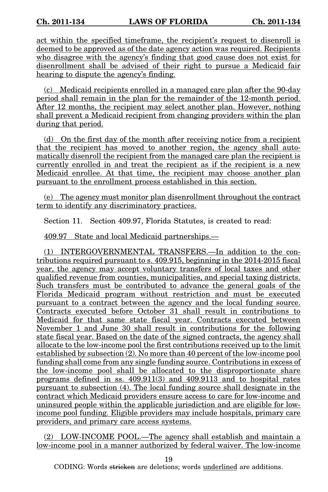act within the specified timeframe, the recipient's request to disenroll is deemed to be approved as of the date agency action was required. Recipients who disagree with the agency's finding that good cause does not exist for disenrollment shall be advised of their right to pursue a Medicaid fair hearing to dispute the agency's finding.

(c) Medicaid recipients enrolled in a managed care plan after the 90-day period shall remain in the plan for the remainder of the 12-month period. After 12 months, the recipient may select another plan. However, nothing shall prevent a Medicaid recipient from changing providers within the plan during that period.

(d) On the first day of the month after receiving notice from a recipient that the recipient has moved to another region, the agency shall automatically disenroll the recipient from the managed care plan the recipient is currently enrolled in and treat the recipient as if the recipient is a new Medicaid enrollee. At that time, the recipient may choose another plan pursuant to the enrollment process established in this section.

(e) The agency must monitor plan disenrollment throughout the contract term to identify any discriminatory practices.

Section 11. Section 409.97, Florida Statutes, is created to read:

409.97 State and local Medicaid partnerships.—

(1) INTERGOVERNMENTAL TRANSFERS.—In addition to the contributions required pursuant to s. 409.915, beginning in the 2014-2015 fiscal year, the agency may accept voluntary transfers of local taxes and other qualified revenue from counties, municipalities, and special taxing districts. Such transfers must be contributed to advance the general goals of the Florida Medicaid program without restriction and must be executed pursuant to a contract between the agency and the local funding source. Contracts executed before October 31 shall result in contributions to Medicaid for that same state fiscal year. Contracts executed between November 1 and June 30 shall result in contributions for the following state fiscal year. Based on the date of the signed contracts, the agency shall allocate to the low-income pool the first contributions received up to the limit established by subsection (2). No more than 40 percent of the low-income pool funding shall come from any single funding source. Contributions in excess of the low-income pool shall be allocated to the disproportionate share programs defined in ss.  $409.911(3)$  and  $409.9113$  and to hospital rates pursuant to subsection (4). The local funding source shall designate in the contract which Medicaid providers ensure access to care for low-income and uninsured people within the applicable jurisdiction and are eligible for lowincome pool funding. Eligible providers may include hospitals, primary care providers, and primary care access systems.

(2) LOW-INCOME POOL.—The agency shall establish and maintain a low-income pool in a manner authorized by federal waiver. The low-income

19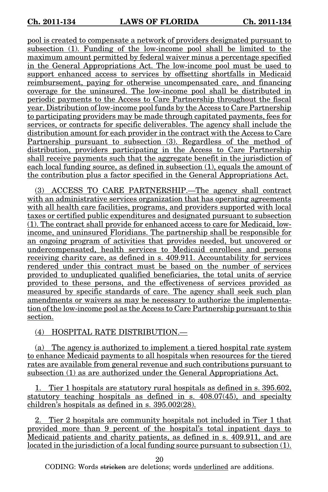pool is created to compensate a network of providers designated pursuant to subsection (1). Funding of the low-income pool shall be limited to the maximum amount permitted by federal waiver minus a percentage specified in the General Appropriations Act. The low-income pool must be used to support enhanced access to services by offsetting shortfalls in Medicaid reimbursement, paying for otherwise uncompensated care, and financing coverage for the uninsured. The low-income pool shall be distributed in periodic payments to the Access to Care Partnership throughout the fiscal year. Distribution of low-income pool funds by the Access to Care Partnership to participating providers may be made through capitated payments, fees for services, or contracts for specific deliverables. The agency shall include the distribution amount for each provider in the contract with the Access to Care Partnership pursuant to subsection (3). Regardless of the method of distribution, providers participating in the Access to Care Partnership shall receive payments such that the aggregate benefit in the jurisdiction of each local funding source, as defined in subsection (1), equals the amount of the contribution plus a factor specified in the General Appropriations Act.

(3) ACCESS TO CARE PARTNERSHIP.—The agency shall contract with an administrative services organization that has operating agreements with all health care facilities, programs, and providers supported with local taxes or certified public expenditures and designated pursuant to subsection (1). The contract shall provide for enhanced access to care for Medicaid, lowincome, and uninsured Floridians. The partnership shall be responsible for an ongoing program of activities that provides needed, but uncovered or undercompensated, health services to Medicaid enrollees and persons receiving charity care, as defined in s. 409.911. Accountability for services rendered under this contract must be based on the number of services provided to unduplicated qualified beneficiaries, the total units of service provided to these persons, and the effectiveness of services provided as measured by specific standards of care. The agency shall seek such plan amendments or waivers as may be necessary to authorize the implementation of the low-income pool as the Access to Care Partnership pursuant to this section.

(4) HOSPITAL RATE DISTRIBUTION.—

(a) The agency is authorized to implement a tiered hospital rate system to enhance Medicaid payments to all hospitals when resources for the tiered rates are available from general revenue and such contributions pursuant to subsection (1) as are authorized under the General Appropriations Act.

1. Tier 1 hospitals are statutory rural hospitals as defined in s. 395.602, statutory teaching hospitals as defined in s. 408.07(45), and specialty children's hospitals as defined in s. 395.002(28).

2. Tier 2 hospitals are community hospitals not included in Tier 1 that provided more than 9 percent of the hospital's total inpatient days to Medicaid patients and charity patients, as defined in s. 409.911, and are located in the jurisdiction of a local funding source pursuant to subsection (1).

20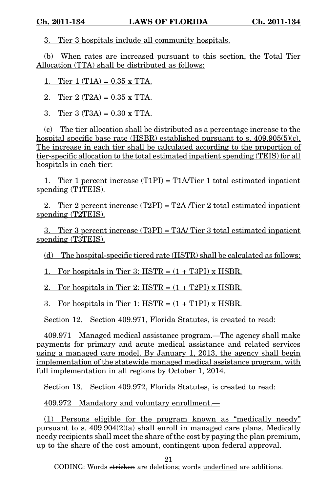3. Tier 3 hospitals include all community hospitals.

(b) When rates are increased pursuant to this section, the Total Tier Allocation (TTA) shall be distributed as follows:

1. Tier 1 (T1A) =  $0.35 \times TTA$ .

2. Tier  $2 (T2A) = 0.35$  x TTA.

3. Tier 3 (T3A) = 0.30 x TTA.

(c) The tier allocation shall be distributed as a percentage increase to the hospital specific base rate (HSBR) established pursuant to s. 409.905(5)(c). The increase in each tier shall be calculated according to the proportion of tier-specific allocation to the total estimated inpatient spending (TEIS) for all hospitals in each tier:

1. Tier 1 percent increase (T1PI) = T1A/Tier 1 total estimated inpatient spending (T1TEIS).

2. Tier 2 percent increase  $(T2PI) = T2A/Tier 2 total estimated in patient$ spending (T2TEIS).

3. Tier 3 percent increase (T3PI) = T3A/ Tier 3 total estimated inpatient spending (T3TEIS).

(d) The hospital-specific tiered rate (HSTR) shall be calculated as follows:

1. For hospitals in Tier 3: HSTR =  $(1 + T3PI)$  x HSBR.

2. For hospitals in Tier 2:  $HSTR = (1 + T2PI) \times HSBR$ .

3. For hospitals in Tier 1:  $HSTR = (1 + T1PI) \times HSBR$ .

Section 12. Section 409.971, Florida Statutes, is created to read:

409.971 Managed medical assistance program.—The agency shall make payments for primary and acute medical assistance and related services using a managed care model. By January 1, 2013, the agency shall begin implementation of the statewide managed medical assistance program, with full implementation in all regions by October 1, 2014.

Section 13. Section 409.972, Florida Statutes, is created to read:

409.972 Mandatory and voluntary enrollment.—

(1) Persons eligible for the program known as "medically needy" pursuant to s.  $409.904(2)(a)$  shall enroll in managed care plans. Medically needy recipients shall meet the share of the cost by paying the plan premium, up to the share of the cost amount, contingent upon federal approval.

21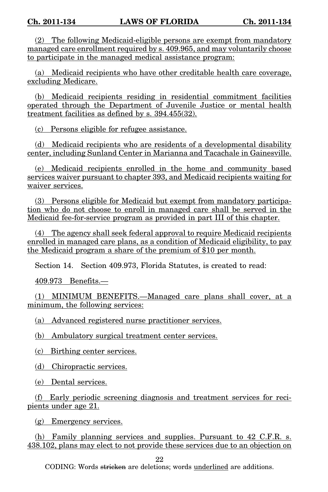(2) The following Medicaid-eligible persons are exempt from mandatory managed care enrollment required by s. 409.965, and may voluntarily choose to participate in the managed medical assistance program:

(a) Medicaid recipients who have other creditable health care coverage, excluding Medicare.

(b) Medicaid recipients residing in residential commitment facilities operated through the Department of Juvenile Justice or mental health treatment facilities as defined by s. 394.455(32).

(c) Persons eligible for refugee assistance.

(d) Medicaid recipients who are residents of a developmental disability center, including Sunland Center in Marianna and Tacachale in Gainesville.

(e) Medicaid recipients enrolled in the home and community based services waiver pursuant to chapter 393, and Medicaid recipients waiting for waiver services.

(3) Persons eligible for Medicaid but exempt from mandatory participation who do not choose to enroll in managed care shall be served in the Medicaid fee-for-service program as provided in part III of this chapter.

(4) The agency shall seek federal approval to require Medicaid recipients enrolled in managed care plans, as a condition of Medicaid eligibility, to pay the Medicaid program a share of the premium of \$10 per month.

Section 14. Section 409.973, Florida Statutes, is created to read:

409.973 Benefits.—

(1) MINIMUM BENEFITS.—Managed care plans shall cover, at a minimum, the following services:

(a) Advanced registered nurse practitioner services.

(b) Ambulatory surgical treatment center services.

(c) Birthing center services.

(d) Chiropractic services.

(e) Dental services.

(f) Early periodic screening diagnosis and treatment services for recipients under age 21.

(g) Emergency services.

(h) Family planning services and supplies. Pursuant to 42 C.F.R. s. 438.102, plans may elect to not provide these services due to an objection on

22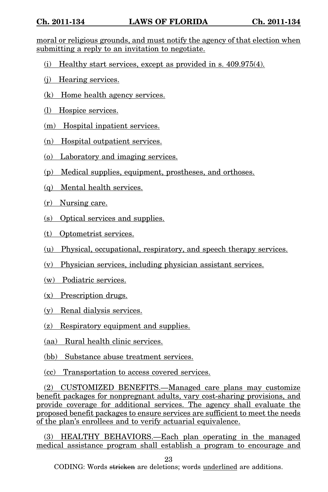moral or religious grounds, and must notify the agency of that election when submitting a reply to an invitation to negotiate.

- (i) Healthy start services, except as provided in s. 409.975(4).
- (j) Hearing services.
- (k) Home health agency services.
- (l) Hospice services.
- (m) Hospital inpatient services.
- (n) Hospital outpatient services.
- (o) Laboratory and imaging services.
- (p) Medical supplies, equipment, prostheses, and orthoses.
- (q) Mental health services.
- (r) Nursing care.
- (s) Optical services and supplies.
- (t) Optometrist services.
- (u) Physical, occupational, respiratory, and speech therapy services.
- (v) Physician services, including physician assistant services.
- (w) Podiatric services.
- (x) Prescription drugs.
- (y) Renal dialysis services.
- (z) Respiratory equipment and supplies.
- (aa) Rural health clinic services.
- (bb) Substance abuse treatment services.
- (cc) Transportation to access covered services.

(2) CUSTOMIZED BENEFITS.—Managed care plans may customize benefit packages for nonpregnant adults, vary cost-sharing provisions, and provide coverage for additional services. The agency shall evaluate the proposed benefit packages to ensure services are sufficient to meet the needs of the plan's enrollees and to verify actuarial equivalence.

(3) HEALTHY BEHAVIORS.—Each plan operating in the managed medical assistance program shall establish a program to encourage and

23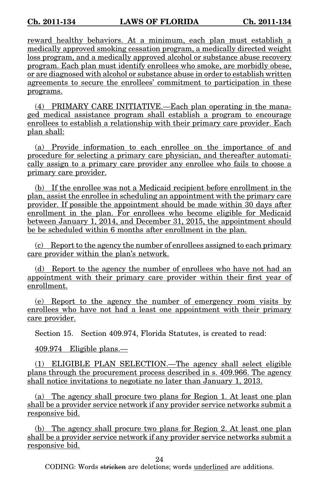reward healthy behaviors. At a minimum, each plan must establish a medically approved smoking cessation program, a medically directed weight loss program, and a medically approved alcohol or substance abuse recovery program. Each plan must identify enrollees who smoke, are morbidly obese, or are diagnosed with alcohol or substance abuse in order to establish written agreements to secure the enrollees' commitment to participation in these programs.

(4) PRIMARY CARE INITIATIVE.—Each plan operating in the managed medical assistance program shall establish a program to encourage enrollees to establish a relationship with their primary care provider. Each plan shall:

(a) Provide information to each enrollee on the importance of and procedure for selecting a primary care physician, and thereafter automatically assign to a primary care provider any enrollee who fails to choose a primary care provider.

(b) If the enrollee was not a Medicaid recipient before enrollment in the plan, assist the enrollee in scheduling an appointment with the primary care provider. If possible the appointment should be made within 30 days after enrollment in the plan. For enrollees who become eligible for Medicaid between January 1, 2014, and December 31, 2015, the appointment should be be scheduled within 6 months after enrollment in the plan.

(c) Report to the agency the number of enrollees assigned to each primary care provider within the plan's network.

(d) Report to the agency the number of enrollees who have not had an appointment with their primary care provider within their first year of enrollment.

(e) Report to the agency the number of emergency room visits by enrollees who have not had a least one appointment with their primary care provider.

Section 15. Section 409.974, Florida Statutes, is created to read:

409.974 Eligible plans.—

(1) ELIGIBLE PLAN SELECTION.—The agency shall select eligible plans through the procurement process described in s. 409.966. The agency shall notice invitations to negotiate no later than January 1, 2013.

(a) The agency shall procure two plans for Region 1. At least one plan shall be a provider service network if any provider service networks submit a responsive bid.

(b) The agency shall procure two plans for Region 2. At least one plan shall be a provider service network if any provider service networks submit a responsive bid.

24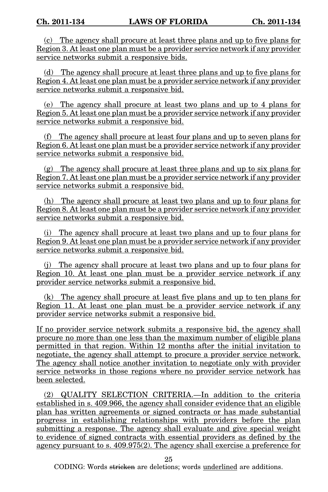(c) The agency shall procure at least three plans and up to five plans for Region 3. At least one plan must be a provider service network if any provider service networks submit a responsive bids.

(d) The agency shall procure at least three plans and up to five plans for Region 4. At least one plan must be a provider service network if any provider service networks submit a responsive bid.

(e) The agency shall procure at least two plans and up to 4 plans for Region 5. At least one plan must be a provider service network if any provider service networks submit a responsive bid.

(f) The agency shall procure at least four plans and up to seven plans for Region 6. At least one plan must be a provider service network if any provider service networks submit a responsive bid.

(g) The agency shall procure at least three plans and up to six plans for Region 7. At least one plan must be a provider service network if any provider service networks submit a responsive bid.

(h) The agency shall procure at least two plans and up to four plans for Region 8. At least one plan must be a provider service network if any provider service networks submit a responsive bid.

(i) The agency shall procure at least two plans and up to four plans for Region 9. At least one plan must be a provider service network if any provider service networks submit a responsive bid.

(j) The agency shall procure at least two plans and up to four plans for Region 10. At least one plan must be a provider service network if any provider service networks submit a responsive bid.

(k) The agency shall procure at least five plans and up to ten plans for Region 11. At least one plan must be a provider service network if any provider service networks submit a responsive bid.

If no provider service network submits a responsive bid, the agency shall procure no more than one less than the maximum number of eligible plans permitted in that region. Within 12 months after the initial invitation to negotiate, the agency shall attempt to procure a provider service network. The agency shall notice another invitation to negotiate only with provider service networks in those regions where no provider service network has been selected.

(2) QUALITY SELECTION CRITERIA.—In addition to the criteria established in s. 409.966, the agency shall consider evidence that an eligible plan has written agreements or signed contracts or has made substantial progress in establishing relationships with providers before the plan submitting a response. The agency shall evaluate and give special weight to evidence of signed contracts with essential providers as defined by the agency pursuant to s. 409.975(2). The agency shall exercise a preference for

25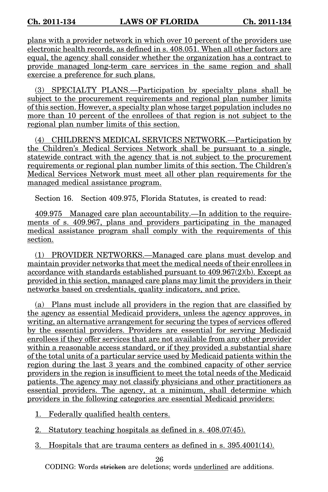plans with a provider network in which over 10 percent of the providers use electronic health records, as defined in s. 408.051. When all other factors are equal, the agency shall consider whether the organization has a contract to provide managed long-term care services in the same region and shall exercise a preference for such plans.

(3) SPECIALTY PLANS.—Participation by specialty plans shall be subject to the procurement requirements and regional plan number limits of this section. However, a specialty plan whose target population includes no more than 10 percent of the enrollees of that region is not subject to the regional plan number limits of this section.

(4) CHILDREN'S MEDICAL SERVICES NETWORK.—Participation by the Children's Medical Services Network shall be pursuant to a single, statewide contract with the agency that is not subject to the procurement requirements or regional plan number limits of this section. The Children's Medical Services Network must meet all other plan requirements for the managed medical assistance program.

Section 16. Section 409.975, Florida Statutes, is created to read:

409.975 Managed care plan accountability.—In addition to the requirements of s. 409.967, plans and providers participating in the managed medical assistance program shall comply with the requirements of this section.

(1) PROVIDER NETWORKS.—Managed care plans must develop and maintain provider networks that meet the medical needs of their enrollees in accordance with standards established pursuant to  $409.967(2)$ (b). Except as provided in this section, managed care plans may limit the providers in their networks based on credentials, quality indicators, and price.

(a) Plans must include all providers in the region that are classified by the agency as essential Medicaid providers, unless the agency approves, in writing, an alternative arrangement for securing the types of services offered by the essential providers. Providers are essential for serving Medicaid enrollees if they offer services that are not available from any other provider within a reasonable access standard, or if they provided a substantial share of the total units of a particular service used by Medicaid patients within the region during the last 3 years and the combined capacity of other service providers in the region is insufficient to meet the total needs of the Medicaid patients. The agency may not classify physicians and other practitioners as essential providers. The agency, at a minimum, shall determine which providers in the following categories are essential Medicaid providers:

1. Federally qualified health centers.

- 2. Statutory teaching hospitals as defined in s. 408.07(45).
- 3. Hospitals that are trauma centers as defined in s. 395.4001(14).

26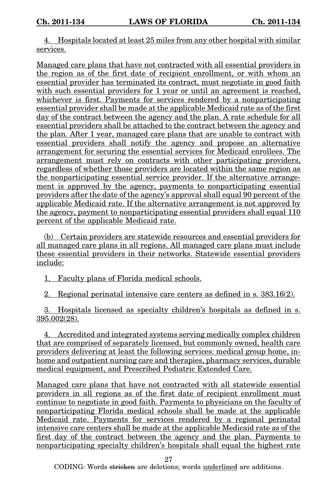4. Hospitals located at least 25 miles from any other hospital with similar services.

Managed care plans that have not contracted with all essential providers in the region as of the first date of recipient enrollment, or with whom an essential provider has terminated its contract, must negotiate in good faith with such essential providers for 1 year or until an agreement is reached, whichever is first. Payments for services rendered by a nonparticipating essential provider shall be made at the applicable Medicaid rate as of the first day of the contract between the agency and the plan. A rate schedule for all essential providers shall be attached to the contract between the agency and the plan. After 1 year, managed care plans that are unable to contract with essential providers shall notify the agency and propose an alternative arrangement for securing the essential services for Medicaid enrollees. The arrangement must rely on contracts with other participating providers, regardless of whether those providers are located within the same region as the nonparticipating essential service provider. If the alternative arrangement is approved by the agency, payments to nonparticipating essential providers after the date of the agency's approval shall equal 90 percent of the applicable Medicaid rate. If the alternative arrangement is not approved by the agency, payment to nonparticipating essential providers shall equal 110 percent of the applicable Medicaid rate.

(b) Certain providers are statewide resources and essential providers for all managed care plans in all regions. All managed care plans must include these essential providers in their networks. Statewide essential providers include:

1. Faculty plans of Florida medical schools.

2. Regional perinatal intensive care centers as defined in s. 383.16(2).

3. Hospitals licensed as specialty children's hospitals as defined in s. 395.002(28).

4. Accredited and integrated systems serving medically complex children that are comprised of separately licensed, but commonly owned, health care providers delivering at least the following services: medical group home, inhome and outpatient nursing care and therapies, pharmacy services, durable medical equipment, and Prescribed Pediatric Extended Care.

Managed care plans that have not contracted with all statewide essential providers in all regions as of the first date of recipient enrollment must continue to negotiate in good faith. Payments to physicians on the faculty of nonparticipating Florida medical schools shall be made at the applicable Medicaid rate. Payments for services rendered by a regional perinatal intensive care centers shall be made at the applicable Medicaid rate as of the first day of the contract between the agency and the plan. Payments to nonparticipating specialty children's hospitals shall equal the highest rate

27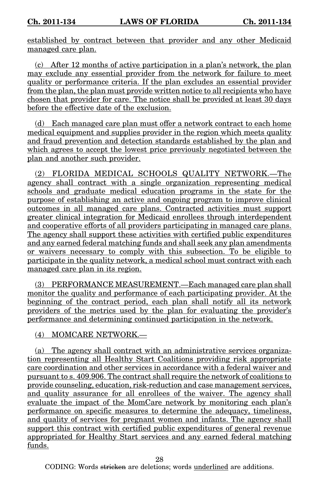established by contract between that provider and any other Medicaid managed care plan.

(c) After 12 months of active participation in a plan's network, the plan may exclude any essential provider from the network for failure to meet quality or performance criteria. If the plan excludes an essential provider from the plan, the plan must provide written notice to all recipients who have chosen that provider for care. The notice shall be provided at least 30 days before the effective date of the exclusion.

(d) Each managed care plan must offer a network contract to each home medical equipment and supplies provider in the region which meets quality and fraud prevention and detection standards established by the plan and which agrees to accept the lowest price previously negotiated between the plan and another such provider.

(2) FLORIDA MEDICAL SCHOOLS QUALITY NETWORK.—The agency shall contract with a single organization representing medical schools and graduate medical education programs in the state for the purpose of establishing an active and ongoing program to improve clinical outcomes in all managed care plans. Contracted activities must support greater clinical integration for Medicaid enrollees through interdependent and cooperative efforts of all providers participating in managed care plans. The agency shall support these activities with certified public expenditures and any earned federal matching funds and shall seek any plan amendments or waivers necessary to comply with this subsection. To be eligible to participate in the quality network, a medical school must contract with each managed care plan in its region.

(3) PERFORMANCE MEASUREMENT.—Each managed care plan shall monitor the quality and performance of each participating provider. At the beginning of the contract period, each plan shall notify all its network providers of the metrics used by the plan for evaluating the provider's performance and determining continued participation in the network.

(4) MOMCARE NETWORK.—

(a) The agency shall contract with an administrative services organization representing all Healthy Start Coalitions providing risk appropriate care coordination and other services in accordance with a federal waiver and pursuant to s. 409.906. The contract shall require the network of coalitions to provide counseling, education, risk-reduction and case management services, and quality assurance for all enrollees of the waiver. The agency shall evaluate the impact of the MomCare network by monitoring each plan's performance on specific measures to determine the adequacy, timeliness, and quality of services for pregnant women and infants. The agency shall support this contract with certified public expenditures of general revenue appropriated for Healthy Start services and any earned federal matching funds.

28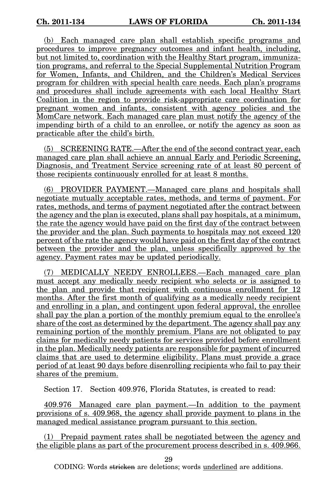(b) Each managed care plan shall establish specific programs and procedures to improve pregnancy outcomes and infant health, including, but not limited to, coordination with the Healthy Start program, immunization programs, and referral to the Special Supplemental Nutrition Program for Women, Infants, and Children, and the Children's Medical Services program for children with special health care needs. Each plan's programs and procedures shall include agreements with each local Healthy Start Coalition in the region to provide risk-appropriate care coordination for pregnant women and infants, consistent with agency policies and the MomCare network. Each managed care plan must notify the agency of the impending birth of a child to an enrollee, or notify the agency as soon as practicable after the child's birth.

(5) SCREENING RATE.—After the end of the second contract year, each managed care plan shall achieve an annual Early and Periodic Screening, Diagnosis, and Treatment Service screening rate of at least 80 percent of those recipients continuously enrolled for at least 8 months.

(6) PROVIDER PAYMENT.—Managed care plans and hospitals shall negotiate mutually acceptable rates, methods, and terms of payment. For rates, methods, and terms of payment negotiated after the contract between the agency and the plan is executed, plans shall pay hospitals, at a minimum, the rate the agency would have paid on the first day of the contract between the provider and the plan. Such payments to hospitals may not exceed 120 percent of the rate the agency would have paid on the first day of the contract between the provider and the plan, unless specifically approved by the agency. Payment rates may be updated periodically.

(7) MEDICALLY NEEDY ENROLLEES.—Each managed care plan must accept any medically needy recipient who selects or is assigned to the plan and provide that recipient with continuous enrollment for 12 months. After the first month of qualifying as a medically needy recipient and enrolling in a plan, and contingent upon federal approval, the enrollee shall pay the plan a portion of the monthly premium equal to the enrollee's share of the cost as determined by the department. The agency shall pay any remaining portion of the monthly premium. Plans are not obligated to pay claims for medically needy patients for services provided before enrollment in the plan. Medically needy patients are responsible for payment of incurred claims that are used to determine eligibility. Plans must provide a grace period of at least 90 days before disenrolling recipients who fail to pay their shares of the premium.

Section 17. Section 409.976, Florida Statutes, is created to read:

409.976 Managed care plan payment.—In addition to the payment provisions of s. 409.968, the agency shall provide payment to plans in the managed medical assistance program pursuant to this section.

(1) Prepaid payment rates shall be negotiated between the agency and the eligible plans as part of the procurement process described in s. 409.966.

29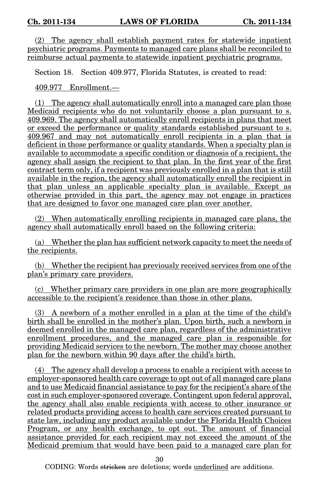(2) The agency shall establish payment rates for statewide inpatient psychiatric programs. Payments to managed care plans shall be reconciled to reimburse actual payments to statewide inpatient psychiatric programs.

Section 18. Section 409.977, Florida Statutes, is created to read:

409.977 Enrollment.—

(1) The agency shall automatically enroll into a managed care plan those Medicaid recipients who do not voluntarily choose a plan pursuant to s. 409.969. The agency shall automatically enroll recipients in plans that meet or exceed the performance or quality standards established pursuant to s. 409.967 and may not automatically enroll recipients in a plan that is deficient in those performance or quality standards. When a specialty plan is available to accommodate a specific condition or diagnosis of a recipient, the agency shall assign the recipient to that plan. In the first year of the first contract term only, if a recipient was previously enrolled in a plan that is still available in the region, the agency shall automatically enroll the recipient in that plan unless an applicable specialty plan is available. Except as otherwise provided in this part, the agency may not engage in practices that are designed to favor one managed care plan over another.

(2) When automatically enrolling recipients in managed care plans, the agency shall automatically enroll based on the following criteria:

(a) Whether the plan has sufficient network capacity to meet the needs of the recipients.

(b) Whether the recipient has previously received services from one of the plan's primary care providers.

(c) Whether primary care providers in one plan are more geographically accessible to the recipient's residence than those in other plans.

(3) A newborn of a mother enrolled in a plan at the time of the child's birth shall be enrolled in the mother's plan. Upon birth, such a newborn is deemed enrolled in the managed care plan, regardless of the administrative enrollment procedures, and the managed care plan is responsible for providing Medicaid services to the newborn. The mother may choose another plan for the newborn within 90 days after the child's birth.

(4) The agency shall develop a process to enable a recipient with access to employer-sponsored health care coverage to opt out of all managed care plans and to use Medicaid financial assistance to pay for the recipient's share of the cost in such employer-sponsored coverage. Contingent upon federal approval, the agency shall also enable recipients with access to other insurance or related products providing access to health care services created pursuant to state law, including any product available under the Florida Health Choices Program, or any health exchange, to opt out. The amount of financial assistance provided for each recipient may not exceed the amount of the Medicaid premium that would have been paid to a managed care plan for

30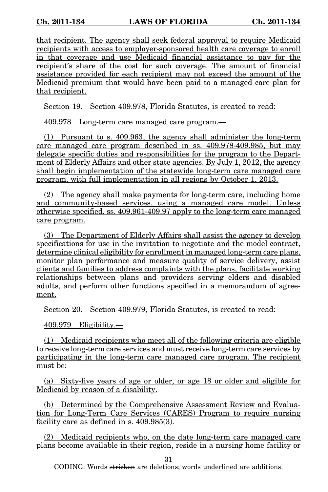that recipient. The agency shall seek federal approval to require Medicaid recipients with access to employer-sponsored health care coverage to enroll in that coverage and use Medicaid financial assistance to pay for the recipient's share of the cost for such coverage. The amount of financial assistance provided for each recipient may not exceed the amount of the Medicaid premium that would have been paid to a managed care plan for that recipient.

Section 19. Section 409.978, Florida Statutes, is created to read:

409.978 Long-term care managed care program.—

(1) Pursuant to s. 409.963, the agency shall administer the long-term care managed care program described in ss. 409.978-409.985, but may delegate specific duties and responsibilities for the program to the Department of Elderly Affairs and other state agencies. By July 1, 2012, the agency shall begin implementation of the statewide long-term care managed care program, with full implementation in all regions by October 1, 2013.

(2) The agency shall make payments for long-term care, including home and community-based services, using a managed care model. Unless otherwise specified, ss. 409.961-409.97 apply to the long-term care managed care program.

(3) The Department of Elderly Affairs shall assist the agency to develop specifications for use in the invitation to negotiate and the model contract, determine clinical eligibility for enrollment in managed long-term care plans, monitor plan performance and measure quality of service delivery, assist clients and families to address complaints with the plans, facilitate working relationships between plans and providers serving elders and disabled adults, and perform other functions specified in a memorandum of agreement.

Section 20. Section 409.979, Florida Statutes, is created to read:

409.979 Eligibility.—

(1) Medicaid recipients who meet all of the following criteria are eligible to receive long-term care services and must receive long-term care services by participating in the long-term care managed care program. The recipient must be:

(a) Sixty-five years of age or older, or age 18 or older and eligible for Medicaid by reason of a disability.

(b) Determined by the Comprehensive Assessment Review and Evaluation for Long-Term Care Services (CARES) Program to require nursing facility care as defined in s. 409.985(3).

(2) Medicaid recipients who, on the date long-term care managed care plans become available in their region, reside in a nursing home facility or

31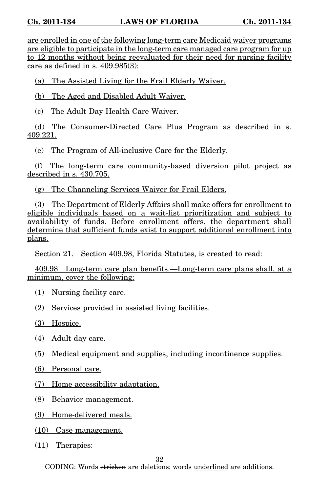are enrolled in one of the following long-term care Medicaid waiver programs are eligible to participate in the long-term care managed care program for up to 12 months without being reevaluated for their need for nursing facility care as defined in s. 409.985(3):

(a) The Assisted Living for the Frail Elderly Waiver.

(b) The Aged and Disabled Adult Waiver.

(c) The Adult Day Health Care Waiver.

(d) The Consumer-Directed Care Plus Program as described in s. 409.221.

(e) The Program of All-inclusive Care for the Elderly.

(f) The long-term care community-based diversion pilot project as described in s. 430.705.

(g) The Channeling Services Waiver for Frail Elders.

(3) The Department of Elderly Affairs shall make offers for enrollment to eligible individuals based on a wait-list prioritization and subject to availability of funds. Before enrollment offers, the department shall determine that sufficient funds exist to support additional enrollment into plans.

Section 21. Section 409.98, Florida Statutes, is created to read:

409.98 Long-term care plan benefits.—Long-term care plans shall, at a minimum, cover the following:

(1) Nursing facility care.

(2) Services provided in assisted living facilities.

(3) Hospice.

(4) Adult day care.

(5) Medical equipment and supplies, including incontinence supplies.

(6) Personal care.

(7) Home accessibility adaptation.

(8) Behavior management.

(9) Home-delivered meals.

(10) Case management.

(11) Therapies:

32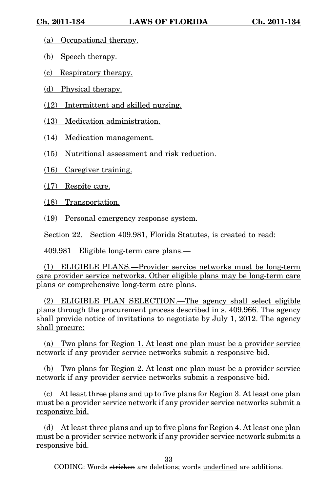- (a) Occupational therapy.
- (b) Speech therapy.
- (c) Respiratory therapy.
- (d) Physical therapy.
- (12) Intermittent and skilled nursing.
- (13) Medication administration.
- (14) Medication management.
- (15) Nutritional assessment and risk reduction.
- (16) Caregiver training.
- (17) Respite care.
- (18) Transportation.
- (19) Personal emergency response system.
- Section 22. Section 409.981, Florida Statutes, is created to read:
- 409.981 Eligible long-term care plans.—

(1) ELIGIBLE PLANS.—Provider service networks must be long-term care provider service networks. Other eligible plans may be long-term care plans or comprehensive long-term care plans.

(2) ELIGIBLE PLAN SELECTION.—The agency shall select eligible plans through the procurement process described in s. 409.966. The agency shall provide notice of invitations to negotiate by July 1, 2012. The agency shall procure:

(a) Two plans for Region 1. At least one plan must be a provider service network if any provider service networks submit a responsive bid.

(b) Two plans for Region 2. At least one plan must be a provider service network if any provider service networks submit a responsive bid.

(c) At least three plans and up to five plans for Region 3. At least one plan must be a provider service network if any provider service networks submit a responsive bid.

(d) At least three plans and up to five plans for Region 4. At least one plan must be a provider service network if any provider service network submits a responsive bid.

33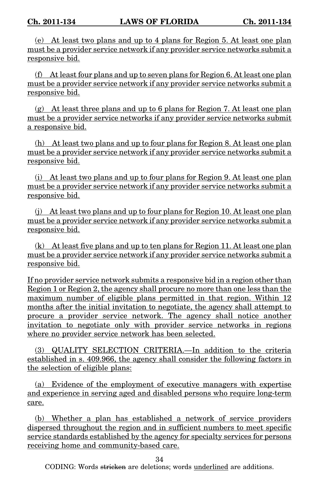(e) At least two plans and up to 4 plans for Region 5. At least one plan must be a provider service network if any provider service networks submit a responsive bid.

(f) At least four plans and up to seven plans for Region 6. At least one plan must be a provider service network if any provider service networks submit a responsive bid.

(g) At least three plans and up to 6 plans for Region 7. At least one plan must be a provider service networks if any provider service networks submit a responsive bid.

(h) At least two plans and up to four plans for Region 8. At least one plan must be a provider service network if any provider service networks submit a responsive bid.

(i) At least two plans and up to four plans for Region 9. At least one plan must be a provider service network if any provider service networks submit a responsive bid.

(j) At least two plans and up to four plans for Region 10. At least one plan must be a provider service network if any provider service networks submit a responsive bid.

(k) At least five plans and up to ten plans for Region 11. At least one plan must be a provider service network if any provider service networks submit a responsive bid.

If no provider service network submits a responsive bid in a region other than Region 1 or Region 2, the agency shall procure no more than one less than the maximum number of eligible plans permitted in that region. Within 12 months after the initial invitation to negotiate, the agency shall attempt to procure a provider service network. The agency shall notice another invitation to negotiate only with provider service networks in regions where no provider service network has been selected.

(3) QUALITY SELECTION CRITERIA.—In addition to the criteria established in s. 409.966, the agency shall consider the following factors in the selection of eligible plans:

(a) Evidence of the employment of executive managers with expertise and experience in serving aged and disabled persons who require long-term care.

(b) Whether a plan has established a network of service providers dispersed throughout the region and in sufficient numbers to meet specific service standards established by the agency for specialty services for persons receiving home and community-based care.

34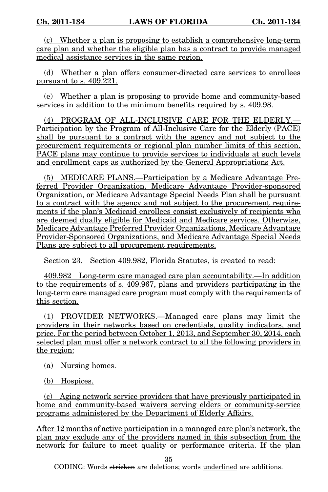(c) Whether a plan is proposing to establish a comprehensive long-term care plan and whether the eligible plan has a contract to provide managed medical assistance services in the same region.

(d) Whether a plan offers consumer-directed care services to enrollees pursuant to s. 409.221.

(e) Whether a plan is proposing to provide home and community-based services in addition to the minimum benefits required by s. 409.98.

(4) PROGRAM OF ALL-INCLUSIVE CARE FOR THE ELDERLY.— Participation by the Program of All-Inclusive Care for the Elderly (PACE) shall be pursuant to a contract with the agency and not subject to the procurement requirements or regional plan number limits of this section. PACE plans may continue to provide services to individuals at such levels and enrollment caps as authorized by the General Appropriations Act.

(5) MEDICARE PLANS.—Participation by a Medicare Advantage Preferred Provider Organization, Medicare Advantage Provider-sponsored Organization, or Medicare Advantage Special Needs Plan shall be pursuant to a contract with the agency and not subject to the procurement requirements if the plan's Medicaid enrollees consist exclusively of recipients who are deemed dually eligible for Medicaid and Medicare services. Otherwise, Medicare Advantage Preferred Provider Organizations, Medicare Advantage Provider-Sponsored Organizations, and Medicare Advantage Special Needs Plans are subject to all procurement requirements.

Section 23. Section 409.982, Florida Statutes, is created to read:

409.982 Long-term care managed care plan accountability.—In addition to the requirements of s. 409.967, plans and providers participating in the long-term care managed care program must comply with the requirements of this section.

(1) PROVIDER NETWORKS.—Managed care plans may limit the providers in their networks based on credentials, quality indicators, and price. For the period between October 1, 2013, and September 30, 2014, each selected plan must offer a network contract to all the following providers in the region:

(a) Nursing homes.

(b) Hospices.

(c) Aging network service providers that have previously participated in home and community-based waivers serving elders or community-service programs administered by the Department of Elderly Affairs.

After 12 months of active participation in a managed care plan's network, the plan may exclude any of the providers named in this subsection from the network for failure to meet quality or performance criteria. If the plan

35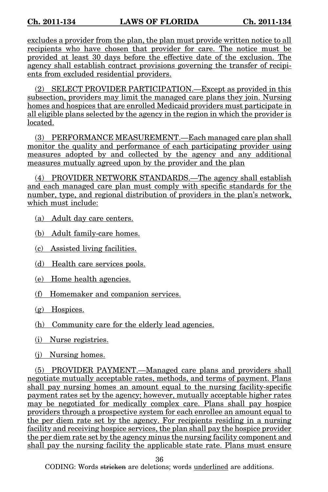excludes a provider from the plan, the plan must provide written notice to all recipients who have chosen that provider for care. The notice must be provided at least 30 days before the effective date of the exclusion. The agency shall establish contract provisions governing the transfer of recipients from excluded residential providers.

(2) SELECT PROVIDER PARTICIPATION.—Except as provided in this subsection, providers may limit the managed care plans they join. Nursing homes and hospices that are enrolled Medicaid providers must participate in all eligible plans selected by the agency in the region in which the provider is located.

(3) PERFORMANCE MEASUREMENT.—Each managed care plan shall monitor the quality and performance of each participating provider using measures adopted by and collected by the agency and any additional measures mutually agreed upon by the provider and the plan

(4) PROVIDER NETWORK STANDARDS.—The agency shall establish and each managed care plan must comply with specific standards for the number, type, and regional distribution of providers in the plan's network, which must include:

- (a) Adult day care centers.
- (b) Adult family-care homes.
- (c) Assisted living facilities.
- (d) Health care services pools.
- (e) Home health agencies.
- (f) Homemaker and companion services.
- (g) Hospices.
- (h) Community care for the elderly lead agencies.
- (i) Nurse registries.
- (j) Nursing homes.

(5) PROVIDER PAYMENT.—Managed care plans and providers shall negotiate mutually acceptable rates, methods, and terms of payment. Plans shall pay nursing homes an amount equal to the nursing facility-specific payment rates set by the agency; however, mutually acceptable higher rates may be negotiated for medically complex care. Plans shall pay hospice providers through a prospective system for each enrollee an amount equal to the per diem rate set by the agency. For recipients residing in a nursing facility and receiving hospice services, the plan shall pay the hospice provider the per diem rate set by the agency minus the nursing facility component and shall pay the nursing facility the applicable state rate. Plans must ensure

36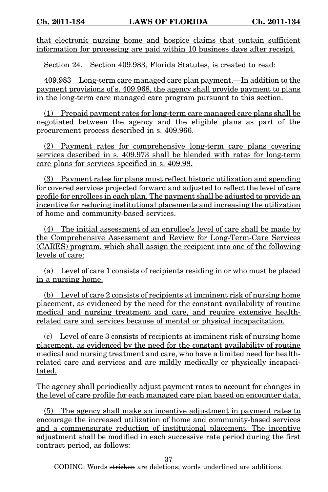that electronic nursing home and hospice claims that contain sufficient information for processing are paid within 10 business days after receipt.

Section 24. Section 409.983, Florida Statutes, is created to read:

409.983 Long-term care managed care plan payment.—In addition to the payment provisions of s. 409.968, the agency shall provide payment to plans in the long-term care managed care program pursuant to this section.

(1) Prepaid payment rates for long-term care managed care plans shall be negotiated between the agency and the eligible plans as part of the procurement process described in s. 409.966.

(2) Payment rates for comprehensive long-term care plans covering services described in s. 409.973 shall be blended with rates for long-term care plans for services specified in s. 409.98.

(3) Payment rates for plans must reflect historic utilization and spending for covered services projected forward and adjusted to reflect the level of care profile for enrollees in each plan. The payment shall be adjusted to provide an incentive for reducing institutional placements and increasing the utilization of home and community-based services.

(4) The initial assessment of an enrollee's level of care shall be made by the Comprehensive Assessment and Review for Long-Term-Care Services (CARES) program, which shall assign the recipient into one of the following levels of care:

(a) Level of care 1 consists of recipients residing in or who must be placed in a nursing home.

(b) Level of care 2 consists of recipients at imminent risk of nursing home placement, as evidenced by the need for the constant availability of routine medical and nursing treatment and care, and require extensive healthrelated care and services because of mental or physical incapacitation.

(c) Level of care 3 consists of recipients at imminent risk of nursing home placement, as evidenced by the need for the constant availability of routine medical and nursing treatment and care, who have a limited need for healthrelated care and services and are mildly medically or physically incapacitated.

The agency shall periodically adjust payment rates to account for changes in the level of care profile for each managed care plan based on encounter data.

(5) The agency shall make an incentive adjustment in payment rates to encourage the increased utilization of home and community-based services and a commensurate reduction of institutional placement. The incentive adjustment shall be modified in each successive rate period during the first contract period, as follows:

37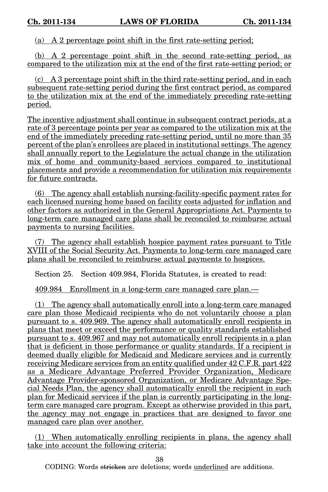(a) A 2 percentage point shift in the first rate-setting period;

(b) A 2 percentage point shift in the second rate-setting period, as compared to the utilization mix at the end of the first rate-setting period; or

(c) A 3 percentage point shift in the third rate-setting period, and in each subsequent rate-setting period during the first contract period, as compared to the utilization mix at the end of the immediately preceding rate-setting period.

The incentive adjustment shall continue in subsequent contract periods, at a rate of 3 percentage points per year as compared to the utilization mix at the end of the immediately preceding rate-setting period, until no more than 35 percent of the plan's enrollees are placed in institutional settings. The agency shall annually report to the Legislature the actual change in the utilization mix of home and community-based services compared to institutional placements and provide a recommendation for utilization mix requirements for future contracts.

(6) The agency shall establish nursing-facility-specific payment rates for each licensed nursing home based on facility costs adjusted for inflation and other factors as authorized in the General Appropriations Act. Payments to long-term care managed care plans shall be reconciled to reimburse actual payments to nursing facilities.

(7) The agency shall establish hospice payment rates pursuant to Title XVIII of the Social Security Act. Payments to long-term care managed care plans shall be reconciled to reimburse actual payments to hospices.

Section 25. Section 409.984, Florida Statutes, is created to read:

409.984 Enrollment in a long-term care managed care plan.—

(1) The agency shall automatically enroll into a long-term care managed care plan those Medicaid recipients who do not voluntarily choose a plan pursuant to s. 409.969. The agency shall automatically enroll recipients in plans that meet or exceed the performance or quality standards established pursuant to s. 409.967 and may not automatically enroll recipients in a plan that is deficient in those performance or quality standards. If a recipient is deemed dually eligible for Medicaid and Medicare services and is currently receiving Medicare services from an entity qualified under 42 C.F.R. part 422 as a Medicare Advantage Preferred Provider Organization, Medicare Advantage Provider-sponsored Organization, or Medicare Advantage Special Needs Plan, the agency shall automatically enroll the recipient in such plan for Medicaid services if the plan is currently participating in the longterm care managed care program. Except as otherwise provided in this part, the agency may not engage in practices that are designed to favor one managed care plan over another.

(1) When automatically enrolling recipients in plans, the agency shall take into account the following criteria:

38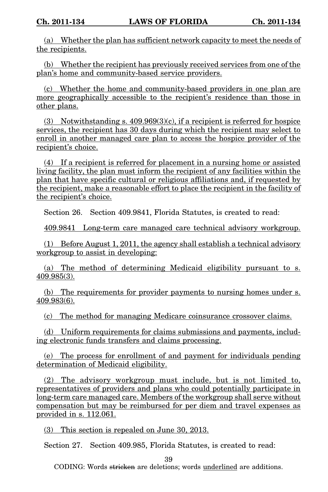(a) Whether the plan has sufficient network capacity to meet the needs of the recipients.

(b) Whether the recipient has previously received services from one of the plan's home and community-based service providers.

(c) Whether the home and community-based providers in one plan are more geographically accessible to the recipient's residence than those in other plans.

(3) Notwithstanding s.  $409.969(3)(c)$ , if a recipient is referred for hospice services, the recipient has 30 days during which the recipient may select to enroll in another managed care plan to access the hospice provider of the recipient's choice.

(4) If a recipient is referred for placement in a nursing home or assisted living facility, the plan must inform the recipient of any facilities within the plan that have specific cultural or religious affiliations and, if requested by the recipient, make a reasonable effort to place the recipient in the facility of the recipient's choice.

Section 26. Section 409.9841, Florida Statutes, is created to read:

409.9841 Long-term care managed care technical advisory workgroup.

(1) Before August 1, 2011, the agency shall establish a technical advisory workgroup to assist in developing:

(a) The method of determining Medicaid eligibility pursuant to s. 409.985(3).

(b) The requirements for provider payments to nursing homes under s. 409.983(6).

(c) The method for managing Medicare coinsurance crossover claims.

(d) Uniform requirements for claims submissions and payments, including electronic funds transfers and claims processing.

(e) The process for enrollment of and payment for individuals pending determination of Medicaid eligibility.

(2) The advisory workgroup must include, but is not limited to, representatives of providers and plans who could potentially participate in long-term care managed care. Members of the workgroup shall serve without compensation but may be reimbursed for per diem and travel expenses as provided in s. 112.061.

(3) This section is repealed on June 30, 2013.

Section 27. Section 409.985, Florida Statutes, is created to read:

39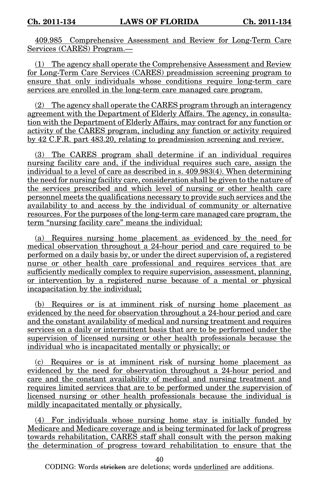409.985 Comprehensive Assessment and Review for Long-Term Care Services (CARES) Program.—

(1) The agency shall operate the Comprehensive Assessment and Review for Long-Term Care Services (CARES) preadmission screening program to ensure that only individuals whose conditions require long-term care services are enrolled in the long-term care managed care program.

(2) The agency shall operate the CARES program through an interagency agreement with the Department of Elderly Affairs. The agency, in consultation with the Department of Elderly Affairs, may contract for any function or activity of the CARES program, including any function or activity required by 42 C.F.R. part 483.20, relating to preadmission screening and review.

(3) The CARES program shall determine if an individual requires nursing facility care and, if the individual requires such care, assign the individual to a level of care as described in s. 409.983(4). When determining the need for nursing facility care, consideration shall be given to the nature of the services prescribed and which level of nursing or other health care personnel meets the qualifications necessary to provide such services and the availability to and access by the individual of community or alternative resources. For the purposes of the long-term care managed care program, the term "nursing facility care" means the individual:

(a) Requires nursing home placement as evidenced by the need for medical observation throughout a 24-hour period and care required to be performed on a daily basis by, or under the direct supervision of, a registered nurse or other health care professional and requires services that are sufficiently medically complex to require supervision, assessment, planning, or intervention by a registered nurse because of a mental or physical incapacitation by the individual;

(b) Requires or is at imminent risk of nursing home placement as evidenced by the need for observation throughout a 24-hour period and care and the constant availability of medical and nursing treatment and requires services on a daily or intermittent basis that are to be performed under the supervision of licensed nursing or other health professionals because the individual who is incapacitated mentally or physically; or

(c) Requires or is at imminent risk of nursing home placement as evidenced by the need for observation throughout a 24-hour period and care and the constant availability of medical and nursing treatment and requires limited services that are to be performed under the supervision of licensed nursing or other health professionals because the individual is mildly incapacitated mentally or physically.

(4) For individuals whose nursing home stay is initially funded by Medicare and Medicare coverage and is being terminated for lack of progress towards rehabilitation, CARES staff shall consult with the person making the determination of progress toward rehabilitation to ensure that the

40